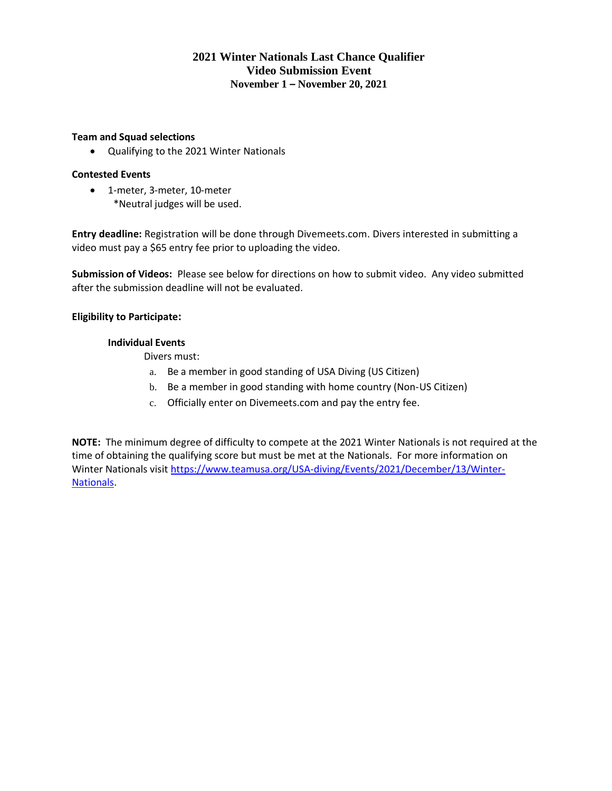# **2021 Winter Nationals Last Chance Qualifier Video Submission Event November 1 – November 20, 2021**

## **Team and Squad selections**

• Qualifying to the 2021 Winter Nationals

## **Contested Events**

• 1-meter, 3-meter, 10-meter \*Neutral judges will be used.

**Entry deadline:** Registration will be done through Divemeets.com. Divers interested in submitting a video must pay a \$65 entry fee prior to uploading the video.

**Submission of Videos:** Please see below for directions on how to submit video. Any video submitted after the submission deadline will not be evaluated.

# **Eligibility to Participate:**

## **Individual Events**

Divers must:

- a. Be a member in good standing of USA Diving (US Citizen)
- b. Be a member in good standing with home country (Non-US Citizen)
- c. Officially enter on Divemeets.com and pay the entry fee.

**NOTE:** The minimum degree of difficulty to compete at the 2021 Winter Nationals is not required at the time of obtaining the qualifying score but must be met at the Nationals. For more information on Winter Nationals visit [https://www.teamusa.org/USA-diving/Events/2021/December/13/Winter-](https://www.teamusa.org/USA-diving/Events/2021/December/13/Winter-Nationals)[Nationals.](https://www.teamusa.org/USA-diving/Events/2021/December/13/Winter-Nationals)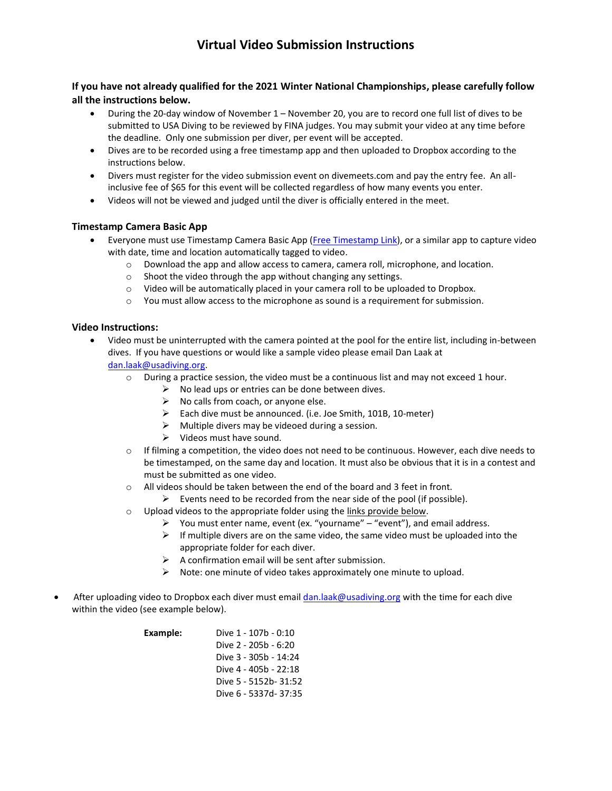# **Virtual Video Submission Instructions**

# **If you have not already qualified for the 2021 Winter National Championships, please carefully follow all the instructions below.**

- During the 20-day window of November 1 November 20, you are to record one full list of dives to be submitted to USA Diving to be reviewed by FINA judges. You may submit your video at any time before the deadline. Only one submission per diver, per event will be accepted.
- Dives are to be recorded using a free timestamp app and then uploaded to Dropbox according to the instructions below.
- Divers must register for the video submission event on divemeets.com and pay the entry fee. An allinclusive fee of \$65 for this event will be collected regardless of how many events you enter.
- Videos will not be viewed and judged until the diver is officially entered in the meet.

## **Timestamp Camera Basic App**

- Everyone must use Timestamp Camera Basic App [\(Free Timestamp Link\)](https://apps.apple.com/us/app/timestamp-camera-basic/id840110184), or a similar app to capture video with date, time and location automatically tagged to video.
	- o Download the app and allow access to camera, camera roll, microphone, and location.
	- $\circ$  Shoot the video through the app without changing any settings.
	- $\circ$  Video will be automatically placed in your camera roll to be uploaded to Dropbox.
	- $\circ$  You must allow access to the microphone as sound is a requirement for submission.

## **Video Instructions:**

- Video must be uninterrupted with the camera pointed at the pool for the entire list, including in-between dives. If you have questions or would like a sample video please email Dan Laak at [dan.laak@usadiving.org.](mailto:dan.laak@usadiving.org)
	- $\circ$  During a practice session, the video must be a continuous list and may not exceed 1 hour.
		- $\triangleright$  No lead ups or entries can be done between dives.
		- $\triangleright$  No calls from coach, or anyone else.
		- ➢ Each dive must be announced. (i.e. Joe Smith, 101B, 10-meter)
		- $\triangleright$  Multiple divers may be videoed during a session.
		- $\triangleright$  Videos must have sound.
	- $\circ$  If filming a competition, the video does not need to be continuous. However, each dive needs to be timestamped, on the same day and location. It must also be obvious that it is in a contest and must be submitted as one video.
	- $\circ$  All videos should be taken between the end of the board and 3 feet in front.
		- $\triangleright$  Events need to be recorded from the near side of the pool (if possible).
	- o Upload videos to the appropriate folder using the links provide below.
		- $\triangleright$  You must enter name, event (ex. "yourname" "event"), and email address.
			- $\triangleright$  If multiple divers are on the same video, the same video must be uploaded into the appropriate folder for each diver.
			- $\triangleright$  A confirmation email will be sent after submission.
		- $\triangleright$  Note: one minute of video takes approximately one minute to upload.
- After uploading video to Dropbox each diver must emai[l dan.laak@usadiving.org](mailto:dan.laak@usadiving.org) with the time for each dive within the video (see example below).

| Example: | Dive 1 - 107b - 0:10  |
|----------|-----------------------|
|          | Dive 2 - 205b - 6:20  |
|          | Dive 3 - 305b - 14:24 |
|          | Dive 4 - 405b - 22:18 |
|          | Dive 5 - 5152b- 31:52 |
|          | Dive 6 - 5337d- 37:35 |